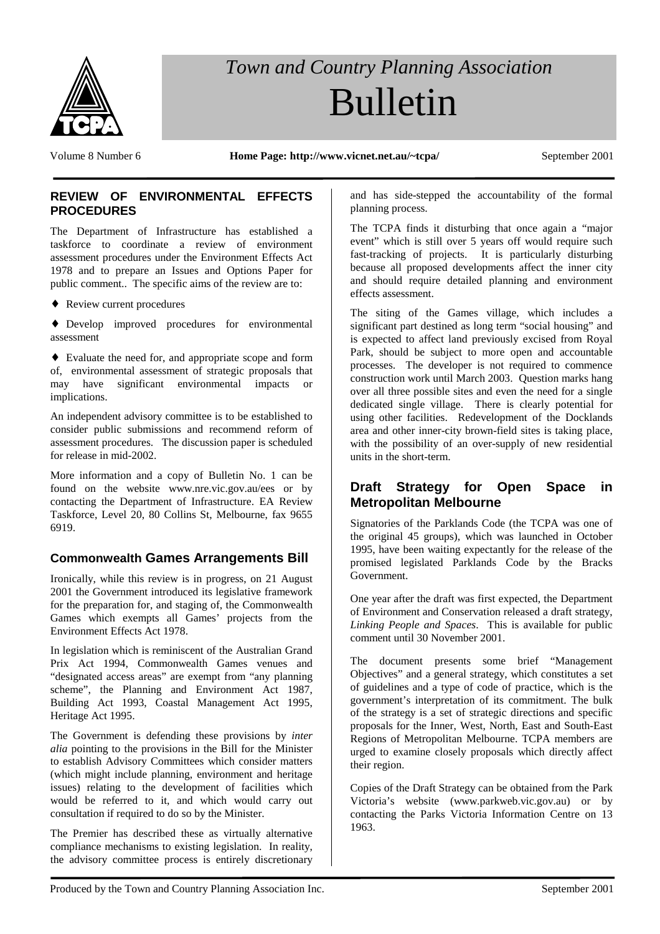

# *Town and Country Planning Association* Bulletin

Volume 8 Number 6 **Home Page: http://www.vicnet.net.au/~tcpa/** September 2001

#### **REVIEW OF ENVIRONMENTAL EFFECTS PROCEDURES**

The Department of Infrastructure has established a taskforce to coordinate a review of environment assessment procedures under the Environment Effects Act 1978 and to prepare an Issues and Options Paper for public comment.. The specific aims of the review are to:

♦ Review current procedures

♦ Develop improved procedures for environmental assessment

♦ Evaluate the need for, and appropriate scope and form of, environmental assessment of strategic proposals that may have significant environmental impacts or implications.

An independent advisory committee is to be established to consider public submissions and recommend reform of assessment procedures. The discussion paper is scheduled for release in mid-2002.

More information and a copy of Bulletin No. 1 can be found on the website www.nre.vic.gov.au/ees or by contacting the Department of Infrastructure. EA Review Taskforce, Level 20, 80 Collins St, Melbourne, fax 9655 6919.

# **Commonwealth Games Arrangements Bill**

Ironically, while this review is in progress, on 21 August 2001 the Government introduced its legislative framework for the preparation for, and staging of, the Commonwealth Games which exempts all Games' projects from the Environment Effects Act 1978.

In legislation which is reminiscent of the Australian Grand Prix Act 1994, Commonwealth Games venues and "designated access areas" are exempt from "any planning scheme", the Planning and Environment Act 1987, Building Act 1993, Coastal Management Act 1995, Heritage Act 1995.

The Government is defending these provisions by *inter alia* pointing to the provisions in the Bill for the Minister to establish Advisory Committees which consider matters (which might include planning, environment and heritage issues) relating to the development of facilities which would be referred to it, and which would carry out consultation if required to do so by the Minister.

The Premier has described these as virtually alternative compliance mechanisms to existing legislation. In reality, the advisory committee process is entirely discretionary and has side-stepped the accountability of the formal planning process.

The TCPA finds it disturbing that once again a "major event" which is still over 5 years off would require such fast-tracking of projects. It is particularly disturbing because all proposed developments affect the inner city and should require detailed planning and environment effects assessment.

The siting of the Games village, which includes a significant part destined as long term "social housing" and is expected to affect land previously excised from Royal Park, should be subject to more open and accountable processes. The developer is not required to commence construction work until March 2003. Question marks hang over all three possible sites and even the need for a single dedicated single village. There is clearly potential for using other facilities. Redevelopment of the Docklands area and other inner-city brown-field sites is taking place, with the possibility of an over-supply of new residential units in the short-term.

## **Draft Strategy for Open Space in Metropolitan Melbourne**

Signatories of the Parklands Code (the TCPA was one of the original 45 groups), which was launched in October 1995, have been waiting expectantly for the release of the promised legislated Parklands Code by the Bracks Government.

One year after the draft was first expected, the Department of Environment and Conservation released a draft strategy, *Linking People and Spaces*. This is available for public comment until 30 November 2001.

The document presents some brief "Management Objectives" and a general strategy, which constitutes a set of guidelines and a type of code of practice, which is the government's interpretation of its commitment. The bulk of the strategy is a set of strategic directions and specific proposals for the Inner, West, North, East and South-East Regions of Metropolitan Melbourne. TCPA members are urged to examine closely proposals which directly affect their region.

Copies of the Draft Strategy can be obtained from the Park Victoria's website (www.parkweb.vic.gov.au) or by contacting the Parks Victoria Information Centre on 13 1963.